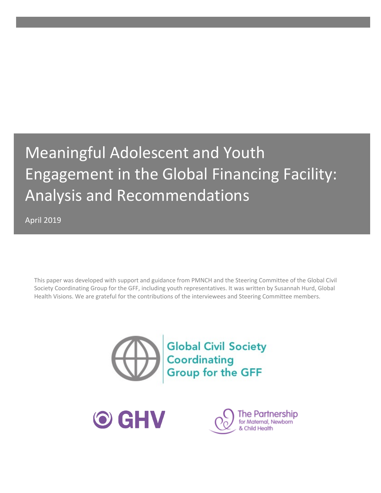# Meaningful Adolescent and Youth Engagement in the Global Financing Facility: Analysis and Recommendations

April 2019

This paper was developed with support and guidance from PMNCH and the Steering Committee of the Global Civil Society Coordinating Group for the GFF, including youth representatives. It was written by Susannah Hurd, Global Health Visions. We are grateful for the contributions of the interviewees and Steering Committee members.





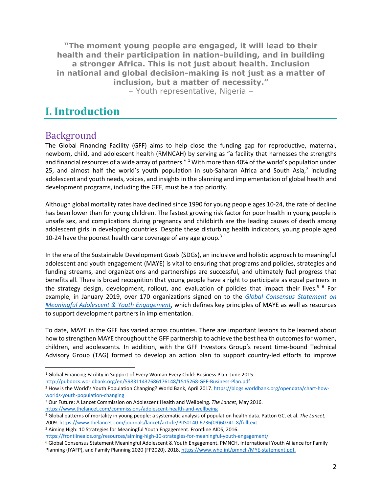**"The moment young people are engaged, it will lead to their health and their participation in nation-building, and in building a stronger Africa. This is not just about health. Inclusion in national and global decision-making is not just as a matter of inclusion, but a matter of necessity."**  – Youth representative, Nigeria –

# **I. Introduction**

### Background

The Global Financing Facility (GFF) aims to help close the funding gap for reproductive, maternal, newborn, child, and adolescent health (RMNCAH) by serving as "a facility that harnesses the strengths and financial resources of a wide array of partners."  $1$  With more than 40% of the world's population under 25, and almost half the world's youth population in sub-Saharan Africa and South Asia, $<sup>2</sup>$  including</sup> adolescent and youth needs, voices, and insights in the planning and implementation of global health and development programs, including the GFF, must be a top priority.

Although global mortality rates have declined since 1990 for young people ages 10-24, the rate of decline has been lower than for young children. The fastest growing risk factor for poor health in young people is unsafe sex, and complications during pregnancy and childbirth are the leading causes of death among adolescent girls in developing countries. Despite these disturbing health indicators, young people aged 10-24 have the poorest health care coverage of any age group.<sup>34</sup>

In the era of the Sustainable Development Goals (SDGs), an inclusive and holistic approach to meaningful adolescent and youth engagement (MAYE) is vital to ensuring that programs and policies, strategies and funding streams, and organizations and partnerships are successful, and ultimately fuel progress that benefits all. There is broad recognition that young people have a right to participate as equal partners in the strategy design, development, rollout, and evaluation of policies that impact their lives.<sup>5 6</sup> For example, in January 2019, over 170 organizations signed on to the *Global Consensus Statement on Meaningful Adolescent & Youth Engagement*, which defines key principles of MAYE as well as resources to support development partners in implementation.

To date, MAYE in the GFF has varied across countries. There are important lessons to be learned about how to strengthen MAYE throughout the GFF partnership to achieve the best health outcomes for women, children, and adolescents. In addition, with the GFF Investors Group's recent time-bound Technical Advisory Group (TAG) formed to develop an action plan to support country-led efforts to improve

1 Global Financing Facility in Support of Every Woman Every Child: Business Plan. June 2015.

<sup>3</sup> Our Future: A Lancet Commission on Adolescent Health and Wellbeing. *The Lancet*, May 2016. https://www.thelancet.com/commissions/adolescent-health-and-wellbeing

http://pubdocs.worldbank.org/en/598311437686176148/1515268-GFF-Business-Plan.pdf

<sup>2</sup> How is the World's Youth Population Changing? World Bank, April 2017. https://blogs.worldbank.org/opendata/chart-howworlds-youth-population-changing

<sup>4</sup> Global patterns of mortality in young people: a systematic analysis of population health data. Patton GC, et al. *The Lancet*, 2009. https://www.thelancet.com/journals/lancet/article/PIIS0140-6736(09)60741-8/fulltext 5 Aiming High: 10 Strategies for Meaningful Youth Engagement. Frontline AIDS, 2016.

https://frontlineaids.org/resources/aiming-high-10-strategies-for-meaningful-youth-engagement/

<sup>6</sup> Global Consensus Statement Meaningful Adolescent & Youth Engagement. PMNCH, International Youth Alliance for Family Planning (IYAFP), and Family Planning 2020 (FP2020), 2018. https://www.who.int/pmnch/MYE-statement.pdf.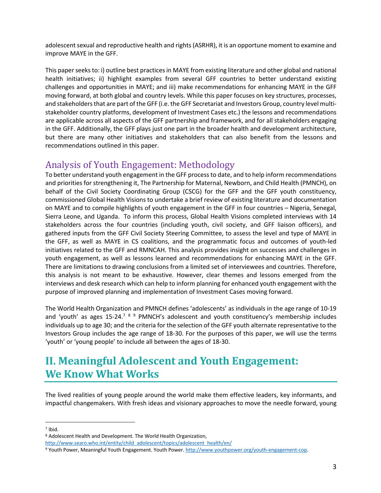adolescent sexual and reproductive health and rights (ASRHR), it is an opportune moment to examine and improve MAYE in the GFF.

This paper seeks to: i) outline best practices in MAYE from existing literature and other global and national health initiatives; ii) highlight examples from several GFF countries to better understand existing challenges and opportunities in MAYE; and iii) make recommendations for enhancing MAYE in the GFF moving forward, at both global and country levels. While this paper focuses on key structures, processes, and stakeholders that are part of the GFF (i.e. the GFF Secretariat and Investors Group, country level multistakeholder country platforms, development of Investment Cases etc.) the lessons and recommendations are applicable across all aspects of the GFF partnership and framework, and for all stakeholders engaging in the GFF. Additionally, the GFF plays just one part in the broader health and development architecture, but there are many other initiatives and stakeholders that can also benefit from the lessons and recommendations outlined in this paper.

### Analysis of Youth Engagement: Methodology

To better understand youth engagement in the GFF process to date, and to help inform recommendations and priorities for strengthening it, The Partnership for Maternal, Newborn, and Child Health (PMNCH), on behalf of the Civil Society Coordinating Group (CSCG) for the GFF and the GFF youth constituency, commissioned Global Health Visions to undertake a brief review of existing literature and documentation on MAYE and to compile highlights of youth engagement in the GFF in four countries – Nigeria, Senegal, Sierra Leone, and Uganda. To inform this process, Global Health Visions completed interviews with 14 stakeholders across the four countries (including youth, civil society, and GFF liaison officers), and gathered inputs from the GFF Civil Society Steering Committee, to assess the level and type of MAYE in the GFF, as well as MAYE in CS coalitions, and the programmatic focus and outcomes of youth-led initiatives related to the GFF and RMNCAH. This analysis provides insight on successes and challenges in youth engagement, as well as lessons learned and recommendations for enhancing MAYE in the GFF. There are limitations to drawing conclusions from a limited set of interviewees and countries. Therefore, this analysis is not meant to be exhaustive. However, clear themes and lessons emerged from the interviews and desk research which can help to inform planning for enhanced youth engagement with the purpose of improved planning and implementation of Investment Cases moving forward.

The World Health Organization and PMNCH defines 'adolescents' as individuals in the age range of 10-19 and 'youth' as ages 15-24.<sup>7 8 9</sup> PMNCH's adolescent and youth constituency's membership includes individuals up to age 30; and the criteria for the selection of the GFF youth alternate representative to the Investors Group includes the age range of 18-30. For the purposes of this paper, we will use the terms 'youth' or 'young people' to include all between the ages of 18-30.

# **II. Meaningful Adolescent and Youth Engagement: We Know What Works**

The lived realities of young people around the world make them effective leaders, key informants, and impactful changemakers. With fresh ideas and visionary approaches to move the needle forward, young

 $7$  Ibid.

<sup>8</sup> Adolescent Health and Development. The World Health Organization,

http://www.searo.who.int/entity/child\_adolescent/topics/adolescent\_health/en/

<sup>9</sup> Youth Power, Meaningful Youth Engagement. Youth Power. http://www.youthpower.org/youth-engagement-cop.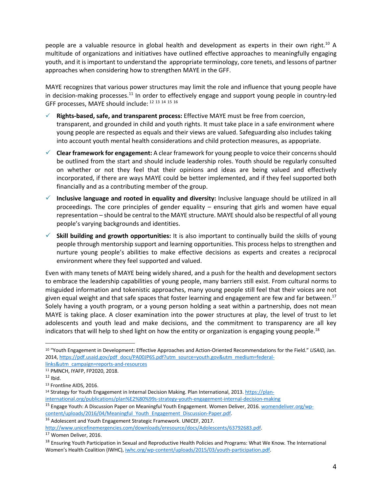people are a valuable resource in global health and development as experts in their own right.10 A multitude of organizations and initiatives have outlined effective approaches to meaningfully engaging youth, and it is important to understand the appropriate terminology, core tenets, and lessons of partner approaches when considering how to strengthen MAYE in the GFF.

MAYE recognizes that various power structures may limit the role and influence that young people have in decision-making processes.<sup>11</sup> In order to effectively engage and support young people in country-led GFF processes, MAYE should include: <sup>12</sup> <sup>13</sup> <sup>14</sup> <sup>15</sup> <sup>16</sup>

- ü **Rights-based, safe, and transparent process:** Effective MAYE must be free from coercion, transparent, and grounded in child and youth rights. It must take place in a safe environment where young people are respected as equals and their views are valued. Safeguarding also includes taking into account youth mental health considerations and child protection measures, as appopriate.
- $\checkmark$  **Clear framework for engagement:** A clear framework for young people to voice their concerns should be outlined from the start and should include leadership roles. Youth should be regularly consulted on whether or not they feel that their opinions and ideas are being valued and effectively incorporated, if there are ways MAYE could be better implemented, and if they feel supported both financially and as a contributing member of the group.
- $\checkmark$  Inclusive language and rooted in equality and diversity: Inclusive language should be utilized in all proceedings. The core principles of gender equality – ensuring that girls and women have equal representation – should be central to the MAYE structure. MAYE should also be respectful of all young people's varying backgrounds and identities.
- ü **Skill building and growth opportunities:** It is also important to continually build the skills of young people through mentorship support and learning opportunities. This process helps to strengthen and nurture young people's abilities to make effective decisions as experts and creates a reciprocal environment where they feel supported and valued.

Even with many tenets of MAYE being widely shared, and a push for the health and development sectors to embrace the leadership capabilities of young people, many barriers still exist. From cultural norms to misguided information and tokenistic approaches, many young people still feel that their voices are not given equal weight and that safe spaces that foster learning and engagement are few and far between.<sup>17</sup> Solely having a youth program, or a young person holding a seat within a partnership, does not mean MAYE is taking place. A closer examination into the power structures at play, the level of trust to let adolescents and youth lead and make decisions, and the commitment to transparency are all key indicators that will help to shed light on how the entity or organization is engaging young people.<sup>18</sup>

 <sup>10</sup> "Youth Engagement in Development: Effective Approaches and Action-Oriented Recommendations for the Field." *USAID,* Jan. 2014, https://pdf.usaid.gov/pdf\_docs/PA00JP6S.pdf?utm\_source=youth.gov&utm\_medium=federallinks&utm\_campaign=reports-and-resources

<sup>&</sup>lt;sup>11</sup> PMNCH, IYAFP, FP2020, 2018.<br><sup>12</sup> Ibid.

<sup>13</sup> Frontline AIDS, 2016.

<sup>&</sup>lt;sup>14</sup> Strategy for Youth Engagement in Internal Decision Making. Plan International, 2013. https://planinternational.org/publications/plan%E2%80%99s-strategy-youth-engagement-internal-decision-making

<sup>&</sup>lt;sup>15</sup> Engage Youth: A Discussion Paper on Meaningful Youth Engagement. Women Deliver, 2016. womendeliver.org/wpcontent/uploads/2016/04/Meaningful\_Youth\_Engagement\_Discussion-Paper.pdf.

<sup>16</sup> Adolescent and Youth Engagement Strategic Framework. UNICEF, 2017.

http://www.unicefinemergencies.com/downloads/eresource/docs/Adolescents/63792683.pdf.

<sup>17</sup> Women Deliver, 2016.

<sup>18</sup> Ensuring Youth Participation in Sexual and Reproductive Health Policies and Programs: What We Know*.* The International Women's Health Coalition (IWHC), iwhc.org/wp-content/uploads/2015/03/youth-participation.pdf.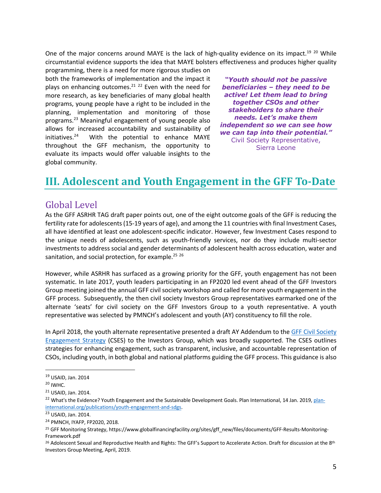One of the major concerns around MAYE is the lack of high-quality evidence on its impact.<sup>19 20</sup> While circumstantial evidence supports the idea that MAYE bolsters effectiveness and produces higher quality

programming, there is a need for more rigorous studies on both the frameworks of implementation and the impact it plays on enhancing outcomes.<sup>21</sup>  $22$  Even with the need for more research, as key beneficiaries of many global health programs, young people have a right to be included in the planning, implementation and monitoring of those programs.23 Meaningful engagement of young people also allows for increased accountability and sustainability of initiatives. With the potential to enhance MAYE throughout the GFF mechanism, the opportunity to evaluate its impacts would offer valuable insights to the global community.

*"Youth should not be passive beneficiaries – they need to be active! Let them lead to bring together CSOs and other stakeholders to share their needs. Let's make them independent so we can see how we can tap into their potential."*  Civil Society Representative, Sierra Leone

# **III. Adolescent and Youth Engagement in the GFF To-Date**

### Global Level

As the GFF ASRHR TAG draft paper points out, one of the eight outcome goals of the GFF is reducing the fertility rate for adolescents (15-19 years of age), and among the 11 countries with final Investment Cases, all have identified at least one adolescent-specific indicator. However, few Investment Cases respond to the unique needs of adolescents, such as youth-friendly services, nor do they include multi-sector investments to address social and gender determinants of adolescent health across education, water and sanitation, and social protection, for example.<sup>25</sup> 26

However, while ASRHR has surfaced as a growing priority for the GFF, youth engagement has not been systematic. In late 2017, youth leaders participating in an FP2020 led event ahead of the GFF Investors Group meeting joined the annual GFF civil society workshop and called for more youth engagement in the GFF process. Subsequently, the then civil society Investors Group representatives earmarked one of the alternate 'seats' for civil society on the GFF Investors Group to a youth representative. A youth representative was selected by PMNCH's adolescent and youth (AY) constituency to fill the role.

In April 2018, the youth alternate representative presented a draft AY Addendum to the GFF Civil Society Engagement Strategy (CSES) to the Investors Group, which was broadly supported. The CSES outlines strategies for enhancing engagement, such as transparent, inclusive, and accountable representation of CSOs, including youth, in both global and national platforms guiding the GFF process. This guidance is also

 <sup>19</sup> USAID, Jan. 2014

 $20$  IWHC.

<sup>21</sup> USAID, Jan. 2014.

<sup>&</sup>lt;sup>22</sup> What's the Evidence? Youth Engagement and the Sustainable Development Goals. Plan International, 14 Jan. 2019, planinternational.org/publications/youth-engagement-and-sdgs.

<sup>23</sup> USAID, Jan. 2014.

<sup>24</sup> PMNCH, IYAFP, FP2020, 2018.

<sup>25</sup> GFF Monitoring Strategy, https://www.globalfinancingfacility.org/sites/gff\_new/files/documents/GFF-Results-Monitoring-Framework.pdf

<sup>&</sup>lt;sup>26</sup> Adolescent Sexual and Reproductive Health and Rights: The GFF's Support to Accelerate Action. Draft for discussion at the 8<sup>th</sup> Investors Group Meeting, April, 2019.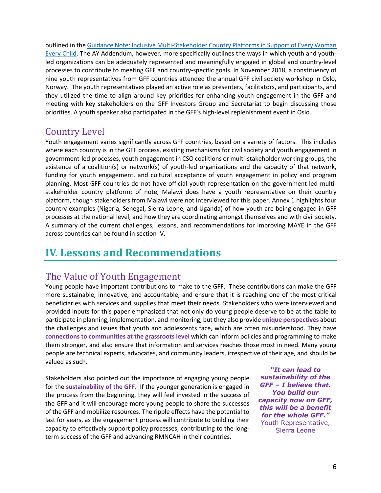outlined in the Guidance Note: Inclusive Multi-Stakeholder Country Platforms in Support of Every Woman Every Child. The AY Addendum, however, more specifically outlines the ways in which youth and youthled organizations can be adequately represented and meaningfully engaged in global and country-level processes to contribute to meeting GFF and country-specific goals. In November 2018, a constituency of nine youth representatives from GFF countries attended the annual GFF civil society workshop in Oslo, Norway. The youth representatives played an active role as presenters, facilitators, and participants, and they utilized the time to align around key priorities for enhancing youth engagement in the GFF and meeting with key stakeholders on the GFF Investors Group and Secretariat to begin discussing those priorities. A youth speaker also participated in the GFF's high-level replenishment event in Oslo.

### **Country Level**

Youth engagement varies significantly across GFF countries, based on a variety of factors. This includes where each country is in the GFF process, existing mechanisms for civil society and youth engagement in government-led processes, youth engagement in CSO coalitions or multi-stakeholder working groups, the existence of a coalition(s) or network(s) of youth-led organizations and the capacity of that network, funding for youth engagement, and cultural acceptance of youth engagement in policy and program planning. Most GFF countries do not have official youth representation on the government-led multistakeholder country platform; of note, Malawi does have a youth representative on their country platform, though stakeholders from Malawi were not interviewed for this paper. Annex 1 highlights four country examples (Nigeria, Senegal, Sierra Leone, and Uganda) of how youth are being engaged in GFF processes at the national level, and how they are coordinating amongst themselves and with civil society. A summary of the current challenges, lessons, and recommendations for improving MAYE in the GFF across countries can be found in section IV.

# **IV. Lessons and Recommendations**

### The Value of Youth Engagement

Young people have important contributions to make to the GFF. These contributions can make the GFF more sustainable, innovative, and accountable, and ensure that it is reaching one of the most critical beneficiaries with services and supplies that meet their needs. Stakeholders who were interviewed and provided inputs for this paper emphasized that not only do young people deserve to be at the table to participate in planning, implementation, and monitoring, but they also provide **unique perspectives** about the challenges and issues that youth and adolescents face, which are often misunderstood. They have **connections to communities at the grassroots level** which can inform policies and programming to make them stronger, and also ensure that information and services reaches those most in need. Many young people are technical experts, advocates, and community leaders, irrespective of their age, and should be valued as such.

Stakeholders also pointed out the importance of engaging young people for the **sustainability of the GFF.** If the younger generation is engaged in the process from the beginning, they will feel invested in the success of the GFF and it will encourage more young people to share the successes of the GFF and mobilize resources. The ripple effects have the potential to last for years, as the engagement process will contribute to building their capacity to effectively support policy processes, contributing to the longterm success of the GFF and advancing RMNCAH in their countries.

*"It can lead to sustainability of the GFF – I believe that. You build our capacity now on GFF, this will be a benefit for the whole GFF."*  Youth Representative, Sierra Leone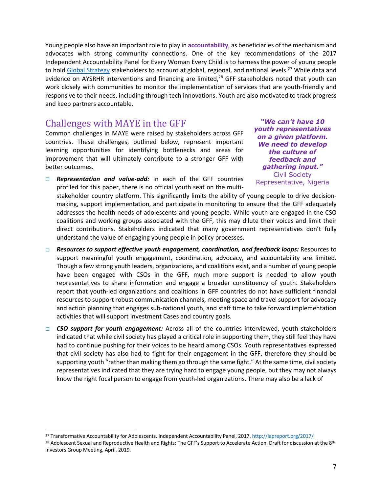Young people also have an important role to play in **accountability**, as beneficiaries of the mechanism and advocates with strong community connections. One of the key recommendations of the 2017 Independent Accountability Panel for Every Woman Every Child is to harness the power of young people to hold Global Strategy stakeholders to account at global, regional, and national levels.<sup>27</sup> While data and evidence on AYSRHR interventions and financing are limited,<sup>28</sup> GFF stakeholders noted that youth can work closely with communities to monitor the implementation of services that are youth-friendly and responsive to their needs, including through tech innovations. Youth are also motivated to track progress and keep partners accountable.

### Challenges with MAYE in the GFF

Common challenges in MAYE were raised by stakeholders across GFF countries. These challenges, outlined below, represent important learning opportunities for identifying bottlenecks and areas for improvement that will ultimately contribute to a stronger GFF with better outcomes.

□ **Representation and value-add:** In each of the GFF countries profiled for this paper, there is no official youth seat on the multi-

*"We can't have 10 youth representatives on a given platform. We need to develop the culture of feedback and gathering input."*  Civil Society Representative, Nigeria

stakeholder country platform. This significantly limits the ability of young people to drive decisionmaking, support implementation, and participate in monitoring to ensure that the GFF adequately addresses the health needs of adolescents and young people. While youth are engaged in the CSO coalitions and working groups associated with the GFF, this may dilute their voices and limit their direct contributions. Stakeholders indicated that many government representatives don't fully understand the value of engaging young people in policy processes.

- □ **Resources to support effective youth engagement, coordination, and feedback loops:** Resources to support meaningful youth engagement, coordination, advocacy, and accountability are limited. Though a few strong youth leaders, organizations, and coalitions exist, and a number of young people have been engaged with CSOs in the GFF, much more support is needed to allow youth representatives to share information and engage a broader constituency of youth. Stakeholders report that youth-led organizations and coalitions in GFF countries do not have sufficient financial resources to support robust communication channels, meeting space and travel support for advocacy and action planning that engages sub-national youth, and staff time to take forward implementation activities that will support Investment Cases and country goals.
- □ **CSO support for youth engagement:** Across all of the countries interviewed, youth stakeholders indicated that while civil society has played a critical role in supporting them, they still feel they have had to continue pushing for their voices to be heard among CSOs. Youth representatives expressed that civil society has also had to fight for their engagement in the GFF, therefore they should be supporting youth "rather than making them go through the same fight." At the same time, civil society representatives indicated that they are trying hard to engage young people, but they may not always know the right focal person to engage from youth-led organizations. There may also be a lack of

 <sup>27</sup> Transformative Accountability for Adolescents. Independent Accountability Panel, 2017. http://iapreport.org/2017/

<sup>&</sup>lt;sup>28</sup> Adolescent Sexual and Reproductive Health and Rights: The GFF's Support to Accelerate Action. Draft for discussion at the 8<sup>th</sup> Investors Group Meeting, April, 2019.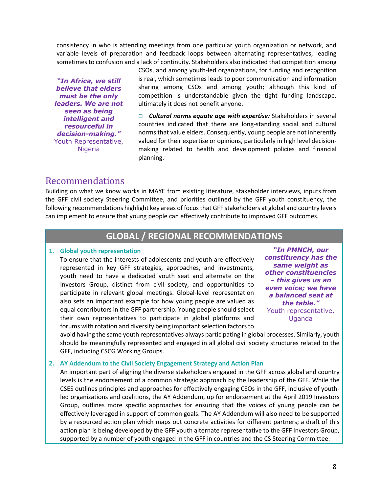consistency in who is attending meetings from one particular youth organization or network, and variable levels of preparation and feedback loops between alternating representatives, leading sometimes to confusion and a lack of continuity. Stakeholders also indicated that competition among

*"In Africa, we still believe that elders must be the only leaders. We are not seen as being intelligent and resourceful in decision-making."*  Youth Representative, **Nigeria** 

CSOs, and among youth-led organizations, for funding and recognition is real, which sometimes leads to poor communication and information sharing among CSOs and among youth; although this kind of competition is understandable given the tight funding landscape, ultimately it does not benefit anyone.

□ **Cultural norms equate age with expertise:** Stakeholders in several countries indicated that there are long-standing social and cultural norms that value elders. Consequently, young people are not inherently valued for their expertise or opinions, particularly in high level decisionmaking related to health and development policies and financial planning.

### Recommendations

Building on what we know works in MAYE from existing literature, stakeholder interviews, inputs from the GFF civil society Steering Committee, and priorities outlined by the GFF youth constituency, the following recommendations highlight key areas of focus that GFF stakeholders at global and country levels can implement to ensure that young people can effectively contribute to improved GFF outcomes.

### **GLOBAL / REGIONAL RECOMMENDATIONS**

#### **1. Global youth representation**

To ensure that the interests of adolescents and youth are effectively represented in key GFF strategies, approaches, and investments, youth need to have a dedicated youth seat and alternate on the Investors Group, distinct from civil society, and opportunities to participate in relevant global meetings. Global-level representation also sets an important example for how young people are valued as equal contributors in the GFF partnership. Young people should select their own representatives to participate in global platforms and forums with rotation and diversity being important selection factors to

*"In PMNCH, our constituency has the same weight as other constituencies – this gives us an even voice; we have a balanced seat at the table."* Youth representative, Uganda

avoid having the same youth representatives always participating in global processes. Similarly, youth should be meaningfully represented and engaged in all global civil society structures related to the GFF, including CSCG Working Groups.

#### **2. AY Addendum to the Civil Society Engagement Strategy and Action Plan**

An important part of aligning the diverse stakeholders engaged in the GFF across global and country levels is the endorsement of a common strategic approach by the leadership of the GFF. While the CSES outlines principles and approaches for effectively engaging CSOs in the GFF, inclusive of youthled organizations and coalitions, the AY Addendum, up for endorsement at the April 2019 Investors Group, outlines more specific approaches for ensuring that the voices of young people can be effectively leveraged in support of common goals. The AY Addendum will also need to be supported by a resourced action plan which maps out concrete activities for different partners; a draft of this action plan is being developed by the GFF youth alternate representative to the GFF Investors Group, supported by a number of youth engaged in the GFF in countries and the CS Steering Committee.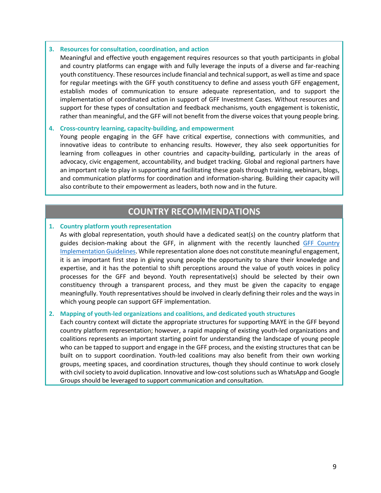#### **3. Resources for consultation, coordination, and action**

Meaningful and effective youth engagement requires resources so that youth participants in global and country platforms can engage with and fully leverage the inputs of a diverse and far-reaching youth constituency. These resources include financial and technical support, as well as time and space for regular meetings with the GFF youth constituency to define and assess youth GFF engagement, establish modes of communication to ensure adequate representation, and to support the implementation of coordinated action in support of GFF Investment Cases. Without resources and support for these types of consultation and feedback mechanisms, youth engagement is tokenistic, rather than meaningful, and the GFF will not benefit from the diverse voices that young people bring.

#### **4. Cross-country learning, capacity-building, and empowerment**

Young people engaging in the GFF have critical expertise, connections with communities, and innovative ideas to contribute to enhancing results. However, they also seek opportunities for learning from colleagues in other countries and capacity-building, particularly in the areas of advocacy, civic engagement, accountability, and budget tracking. Global and regional partners have an important role to play in supporting and facilitating these goals through training, webinars, blogs, and communication platforms for coordination and information-sharing. Building their capacity will also contribute to their empowerment as leaders, both now and in the future.

### **COUNTRY RECOMMENDATIONS**

#### **1. Country platform youth representation**

As with global representation, youth should have a dedicated seat(s) on the country platform that guides decision-making about the GFF, in alignment with the recently launched GFF Country Implementation Guidelines. While representation alone does not constitute meaningful engagement, it is an important first step in giving young people the opportunity to share their knowledge and expertise, and it has the potential to shift perceptions around the value of youth voices in policy processes for the GFF and beyond. Youth representative(s) should be selected by their own constituency through a transparent process, and they must be given the capacity to engage meaningfully. Youth representatives should be involved in clearly defining their roles and the ways in which young people can support GFF implementation.

#### **2. Mapping of youth-led organizations and coalitions, and dedicated youth structures**

Each country context will dictate the appropriate structures for supporting MAYE in the GFF beyond country platform representation; however, a rapid mapping of existing youth-led organizations and coalitions represents an important starting point for understanding the landscape of young people who can be tapped to support and engage in the GFF process, and the existing structures that can be built on to support coordination. Youth-led coalitions may also benefit from their own working groups, meeting spaces, and coordination structures, though they should continue to work closely with civil society to avoid duplication. Innovative and low-cost solutions such as WhatsApp and Google Groups should be leveraged to support communication and consultation.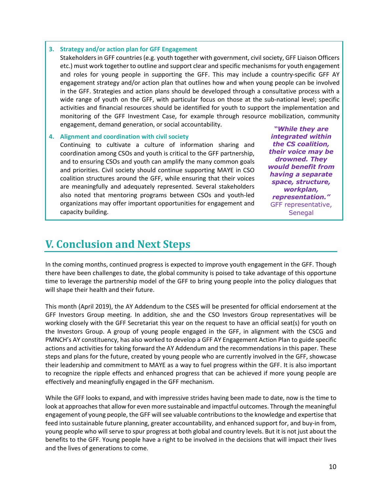#### **3. Strategy and/or action plan for GFF Engagement**

Stakeholdersin GFF countries(e.g. youth together with government, civil society, GFF Liaison Officers etc.) must work together to outline and support clear and specific mechanisms for youth engagement and roles for young people in supporting the GFF. This may include a country-specific GFF AY engagement strategy and/or action plan that outlines how and when young people can be involved in the GFF. Strategies and action plans should be developed through a consultative process with a wide range of youth on the GFF, with particular focus on those at the sub-national level; specific activities and financial resources should be identified for youth to support the implementation and monitoring of the GFF Investment Case, for example through resource mobilization, community engagement, demand generation, or social accountability.

#### **4. Alignment and coordination with civil society**

Continuing to cultivate a culture of information sharing and coordination among CSOs and youth is critical to the GFF partnership, and to ensuring CSOs and youth can amplify the many common goals and priorities. Civil society should continue supporting MAYE in CSO coalition structures around the GFF, while ensuring that their voices are meaningfully and adequately represented. Several stakeholders also noted that mentoring programs between CSOs and youth-led organizations may offer important opportunities for engagement and capacity building.

*"While they are integrated within the CS coalition, their voice may be drowned. They would benefit from having a separate space, structure, workplan, representation."* GFF representative, Senegal

# **V. Conclusion and Next Steps**

In the coming months, continued progress is expected to improve youth engagement in the GFF. Though there have been challenges to date, the global community is poised to take advantage of this opportune time to leverage the partnership model of the GFF to bring young people into the policy dialogues that will shape their health and their future.

This month (April 2019), the AY Addendum to the CSES will be presented for official endorsement at the GFF Investors Group meeting. In addition, she and the CSO Investors Group representatives will be working closely with the GFF Secretariat this year on the request to have an official seat(s) for youth on the Investors Group. A group of young people engaged in the GFF, in alignment with the CSCG and PMNCH's AY constituency, has also worked to develop a GFF AY Engagement Action Plan to guide specific actions and activities for taking forward the AY Addendum and the recommendations in this paper. These steps and plans for the future, created by young people who are currently involved in the GFF, showcase their leadership and commitment to MAYE as a way to fuel progress within the GFF. It is also important to recognize the ripple effects and enhanced progress that can be achieved if more young people are effectively and meaningfully engaged in the GFF mechanism.

While the GFF looks to expand, and with impressive strides having been made to date, now is the time to look at approaches that allow for even more sustainable and impactful outcomes. Through the meaningful engagement of young people, the GFF will see valuable contributions to the knowledge and expertise that feed into sustainable future planning, greater accountability, and enhanced support for, and buy-in from, young people who will serve to spur progress at both global and country levels. But it is not just about the benefits to the GFF. Young people have a right to be involved in the decisions that will impact their lives and the lives of generations to come.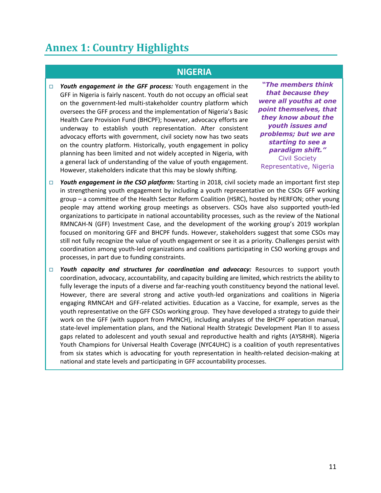# **Annex 1: Country Highlights**

### **NIGERIA**

□ Youth engagement in the GFF process: Youth engagement in the GFF in Nigeria is fairly nascent. Youth do not occupy an official seat on the government-led multi-stakeholder country platform which oversees the GFF process and the implementation of Nigeria's Basic Health Care Provision Fund (BHCPF); however, advocacy efforts are underway to establish youth representation. After consistent advocacy efforts with government, civil society now has two seats on the country platform. Historically, youth engagement in policy planning has been limited and not widely accepted in Nigeria, with a general lack of understanding of the value of youth engagement. However, stakeholders indicate that this may be slowly shifting.

*"The members think that because they were all youths at one point themselves, that they know about the youth issues and problems; but we are starting to see a paradigm shift."* Civil Society Representative, Nigeria

- □ *Youth engagement in the CSO platform:* Starting in 2018, civil society made an important first step in strengthening youth engagement by including a youth representative on the CSOs GFF working group – a committee of the Health Sector Reform Coalition (HSRC), hosted by HERFON; other young people may attend working group meetings as observers. CSOs have also supported youth-led organizations to participate in national accountability processes, such as the review of the National RMNCAH-N (GFF) Investment Case, and the development of the working group's 2019 workplan focused on monitoring GFF and BHCPF funds. However, stakeholders suggest that some CSOs may still not fully recognize the value of youth engagement or see it as a priority. Challenges persist with coordination among youth-led organizations and coalitions participating in CSO working groups and processes, in part due to funding constraints.
- □ *Youth capacity and structures for coordination and advocacy:* **Resources to support youth** coordination, advocacy, accountability, and capacity building are limited, which restricts the ability to fully leverage the inputs of a diverse and far-reaching youth constituency beyond the national level. However, there are several strong and active youth-led organizations and coalitions in Nigeria engaging RMNCAH and GFF-related activities. Education as a Vaccine, for example, serves as the youth representative on the GFF CSOs working group. They have developed a strategy to guide their work on the GFF (with support from PMNCH), including analyses of the BHCPF operation manual, state-level implementation plans, and the National Health Strategic Development Plan II to assess gaps related to adolescent and youth sexual and reproductive health and rights (AYSRHR). Nigeria Youth Champions for Universal Health Coverage (NYC4UHC) is a coalition of youth representatives from six states which is advocating for youth representation in health-related decision-making at national and state levels and participating in GFF accountability processes.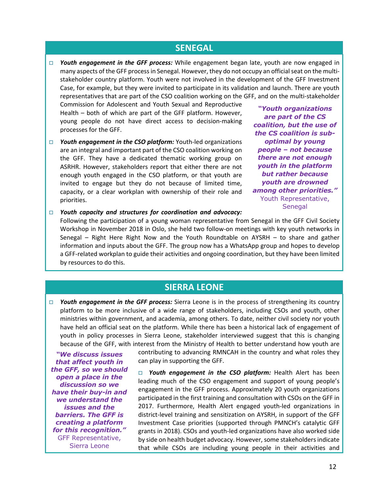### **SENEGAL**

□ *Youth engagement in the GFF process:* While engagement began late, youth are now engaged in many aspects of the GFF process in Senegal. However, they do not occupy an official seat on the multistakeholder country platform. Youth were not involved in the development of the GFF Investment Case, for example, but they were invited to participate in its validation and launch. There are youth representatives that are part of the CSO coalition working on the GFF, and on the multi-stakeholder

Commission for Adolescent and Youth Sexual and Reproductive Health – both of which are part of the GFF platform. However, young people do not have direct access to decision-making processes for the GFF.

□ Youth engagement in the CSO platform: Youth-led organizations are an integral and important part of the CSO coalition working on the GFF. They have a dedicated thematic working group on ASRHR. However, stakeholders report that either there are not enough youth engaged in the CSO platform, or that youth are invited to engage but they do not because of limited time, capacity, or a clear workplan with ownership of their role and priorities.

*"Youth organizations are part of the CS coalition, but the use of the CS coalition is suboptimal by young people – not because there are not enough youth in the platform but rather because youth are drowned among other priorities."* Youth Representative, Senegal

□ *Youth capacity and structures for coordination and advocacy:* 

Following the participation of a young woman representative from Senegal in the GFF Civil Society Workshop in November 2018 in Oslo, she held two follow-on meetings with key youth networks in Senegal – Right Here Right Now and the Youth Roundtable on AYSRH – to share and gather information and inputs about the GFF. The group now has a WhatsApp group and hopes to develop a GFF-related workplan to guide their activities and ongoing coordination, but they have been limited by resources to do this.

### **SIERRA LEONE**

 $\Box$  *Youth engagement in the GFF process:* Sierra Leone is in the process of strengthening its country platform to be more inclusive of a wide range of stakeholders, including CSOs and youth, other ministries within government, and academia, among others. To date, neither civil society nor youth have held an official seat on the platform. While there has been a historical lack of engagement of youth in policy processes in Sierra Leone, stakeholder interviewed suggest that this is changing because of the GFF, with interest from the Ministry of Health to better understand how youth are

*"We discuss issues that affect youth in the GFF, so we should open a place in the discussion so we have their buy-in and we understand the issues and the barriers. The GFF is creating a platform for this recognition."* GFF Representative, Sierra Leone

contributing to advancing RMNCAH in the country and what roles they can play in supporting the GFF.

**D** Youth engagement in the CSO platform: Health Alert has been leading much of the CSO engagement and support of young people's engagement in the GFF process. Approximately 20 youth organizations participated in the first training and consultation with CSOs on the GFF in 2017. Furthermore, Health Alert engaged youth-led organizations in district-level training and sensitization on AYSRH, in support of the GFF Investment Case priorities (supported through PMNCH's catalytic GFF grants in 2018). CSOs and youth-led organizations have also worked side by side on health budget advocacy. However, some stakeholders indicate that while CSOs are including young people in their activities and